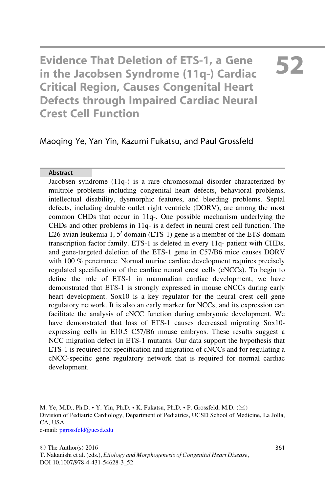Evidence That Deletion of ETS-1, a Gene in the Jacobsen Syndrome (11q-) Cardiac Critical Region, Causes Congenital Heart Defects through Impaired Cardiac Neural Crest Cell Function

# 52

### Maoqing Ye, Yan Yin, Kazumi Fukatsu, and Paul Grossfeld

#### Abstract

Jacobsen syndrome (11q-) is a rare chromosomal disorder characterized by multiple problems including congenital heart defects, behavioral problems, intellectual disability, dysmorphic features, and bleeding problems. Septal defects, including double outlet right ventricle (DORV), are among the most common CHDs that occur in 11q-. One possible mechanism underlying the CHDs and other problems in 11q- is a defect in neural crest cell function. The E26 avian leukemia 1,  $5'$  domain (ETS-1) gene is a member of the ETS-domain transcription factor family. ETS-1 is deleted in every 11q- patient with CHDs, and gene-targeted deletion of the ETS-1 gene in C57/B6 mice causes DORV with 100 % penetrance. Normal murine cardiac development requires precisely regulated specification of the cardiac neural crest cells (cNCCs). To begin to define the role of ETS-1 in mammalian cardiac development, we have demonstrated that ETS-1 is strongly expressed in mouse cNCCs during early heart development. Sox10 is a key regulator for the neural crest cell gene regulatory network. It is also an early marker for NCCs, and its expression can facilitate the analysis of cNCC function during embryonic development. We have demonstrated that loss of ETS-1 causes decreased migrating Sox10 expressing cells in E10.5 C57/B6 mouse embryos. These results suggest a NCC migration defect in ETS-1 mutants. Our data support the hypothesis that ETS-1 is required for specification and migration of cNCCs and for regulating a cNCC-specific gene regulatory network that is required for normal cardiac development.

M. Ye, M.D., Ph.D. • Y. Yin, Ph.D. • K. Fukatsu, Ph.D. • P. Grossfeld, M.D.  $(\boxtimes)$ Division of Pediatric Cardiology, Department of Pediatrics, UCSD School of Medicine, La Jolla, CA, USA e-mail: [pgrossfeld@ucsd.edu](mailto:pgrossfeld@ucsd.edu)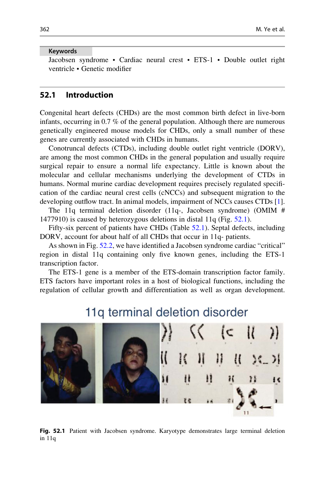#### Keywords

Jacobsen syndrome • Cardiac neural crest • ETS-1 • Double outlet right ventricle • Genetic modifier

#### 52.1 Introduction

Congenital heart defects (CHDs) are the most common birth defect in live-born infants, occurring in 0.7 % of the general population. Although there are numerous genetically engineered mouse models for CHDs, only a small number of these genes are currently associated with CHDs in humans.

Conotruncal defects (CTDs), including double outlet right ventricle (DORV), are among the most common CHDs in the general population and usually require surgical repair to ensure a normal life expectancy. Little is known about the molecular and cellular mechanisms underlying the development of CTDs in humans. Normal murine cardiac development requires precisely regulated specification of the cardiac neural crest cells (cNCCs) and subsequent migration to the developing outflow tract. In animal models, impairment of NCCs causes CTDs [[1\]](#page-8-0).

The 11q terminal deletion disorder (11q-, Jacobsen syndrome) (OMIM # 1477910) is caused by heterozygous deletions in distal 11q (Fig. [52.1\)](#page-1-0).

Fifty-six percent of patients have CHDs (Table [52.1](#page-2-0)). Septal defects, including DORV, account for about half of all CHDs that occur in 11q- patients.

As shown in Fig. [52.2](#page-2-1), we have identified a Jacobsen syndrome cardiac "critical" region in distal 11q containing only five known genes, including the ETS-1 transcription factor.

The ETS-1 gene is a member of the ETS-domain transcription factor family. ETS factors have important roles in a host of biological functions, including the regulation of cellular growth and differentiation as well as organ development.

<span id="page-1-0"></span>

# 11g terminal deletion disorder

Fig. 52.1 Patient with Jacobsen syndrome. Karyotype demonstrates large terminal deletion in 11q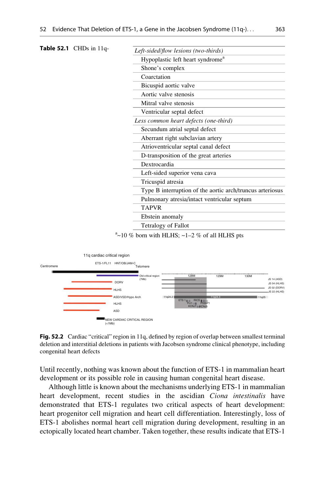<span id="page-2-0"></span>

| <b>Table 52.1</b> CHDs in $11q$ - |  |                                                           |
|-----------------------------------|--|-----------------------------------------------------------|
|                                   |  | Left-sided/flow lesions (two-thirds)                      |
|                                   |  | Hypoplastic left heart syndrome <sup>a</sup>              |
|                                   |  | Shone's complex                                           |
|                                   |  | Coarctation                                               |
|                                   |  | Bicuspid aortic valve                                     |
|                                   |  | Aortic valve stenosis                                     |
|                                   |  | Mitral valve stenosis                                     |
|                                   |  | Ventricular septal defect                                 |
|                                   |  | Less common heart defects (one-third)                     |
|                                   |  | Secundum atrial septal defect                             |
|                                   |  | Aberrant right subclavian artery                          |
|                                   |  | Atrioventricular septal canal defect                      |
|                                   |  | D-transposition of the great arteries                     |
|                                   |  | Dextrocardia                                              |
|                                   |  | Left-sided superior vena cava                             |
|                                   |  | Tricuspid atresia                                         |
|                                   |  | Type B interruption of the aortic arch/truncus arteriosus |
|                                   |  | Pulmonary atresia/intact ventricular septum               |
|                                   |  | TAPVR                                                     |
|                                   |  | Ebstein anomaly                                           |
|                                   |  | Tetralogy of Fallot                                       |
|                                   |  |                                                           |

#### $a$ ~10 % born with HLHS; ~1–2 % of all HLHS pts

<span id="page-2-1"></span>

Fig. 52.2 Cardiac "critical" region in 11q, defined by region of overlap between smallest terminal deletion and interstitial deletions in patients with Jacobsen syndrome clinical phenotype, including congenital heart defects

Until recently, nothing was known about the function of ETS-1 in mammalian heart development or its possible role in causing human congenital heart disease.

Although little is known about the mechanisms underlying ETS-1 in mammalian heart development, recent studies in the ascidian Ciona intestinalis have demonstrated that ETS-1 regulates two critical aspects of heart development: heart progenitor cell migration and heart cell differentiation. Interestingly, loss of ETS-1 abolishes normal heart cell migration during development, resulting in an ectopically located heart chamber. Taken together, these results indicate that ETS-1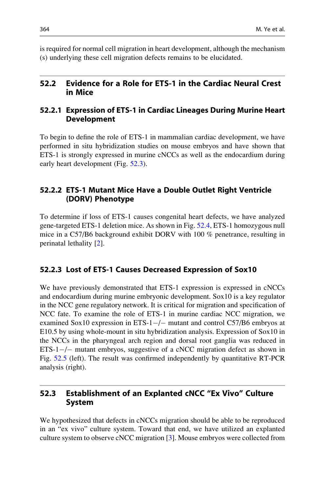is required for normal cell migration in heart development, although the mechanism (s) underlying these cell migration defects remains to be elucidated.

#### 52.2 Evidence for a Role for ETS-1 in the Cardiac Neural Crest in Mice

#### 52.2.1 Expression of ETS-1 in Cardiac Lineages During Murine Heart Development

To begin to define the role of ETS-1 in mammalian cardiac development, we have performed in situ hybridization studies on mouse embryos and have shown that ETS-1 is strongly expressed in murine cNCCs as well as the endocardium during early heart development (Fig. [52.3\)](#page-4-0).

#### 52.2.2 ETS-1 Mutant Mice Have a Double Outlet Right Ventricle (DORV) Phenotype

To determine if loss of ETS-1 causes congenital heart defects, we have analyzed gene-targeted ETS-1 deletion mice. As shown in Fig. [52.4,](#page-5-0) ETS-1 homozygous null mice in a C57/B6 background exhibit DORV with 100 % penetrance, resulting in perinatal lethality [[2\]](#page-8-1).

#### 52.2.3 Lost of ETS-1 Causes Decreased Expression of Sox10

We have previously demonstrated that ETS-1 expression is expressed in cNCCs and endocardium during murine embryonic development. Sox10 is a key regulator in the NCC gene regulatory network. It is critical for migration and specification of NCC fate. To examine the role of ETS-1 in murine cardiac NCC migration, we examined Sox10 expression in ETS-1-/- mutant and control C57/B6 embryos at E10.5 by using whole-mount in situ hybridization analysis. Expression of Sox10 in the NCCs in the pharyngeal arch region and dorsal root ganglia was reduced in ETS-1-/- mutant embryos, suggestive of a cNCC migration defect as shown in Fig. [52.5](#page-5-1) (left). The result was confirmed independently by quantitative RT-PCR analysis (right).

#### 52.3 Establishment of an Explanted cNCC "Ex Vivo" Culture System

We hypothesized that defects in cNCCs migration should be able to be reproduced in an "ex vivo" culture system. Toward that end, we have utilized an explanted culture system to observe cNCC migration [[3\]](#page-8-2). Mouse embryos were collected from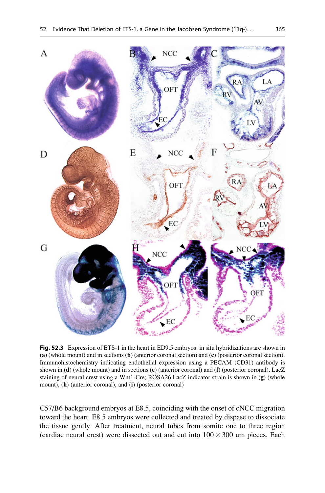<span id="page-4-0"></span>

Fig. 52.3 Expression of ETS-1 in the heart in ED9.5 embryos: in situ hybridizations are shown in (a) (whole mount) and in sections (b) (anterior coronal section) and (c) (posterior coronal section). Immunohistochemistry indicating endothelial expression using a PECAM (CD31) antibody is shown in (d) (whole mount) and in sections (e) (anterior coronal) and (f) (posterior coronal). LacZ staining of neural crest using a Wnt1-Cre; ROSA26 LacZ indicator strain is shown in (g) (whole mount), (h) (anterior coronal), and (i) (posterior coronal)

C57/B6 background embryos at E8.5, coinciding with the onset of cNCC migration toward the heart. E8.5 embryos were collected and treated by dispase to dissociate the tissue gently. After treatment, neural tubes from somite one to three region (cardiac neural crest) were dissected out and cut into  $100 \times 300$  um pieces. Each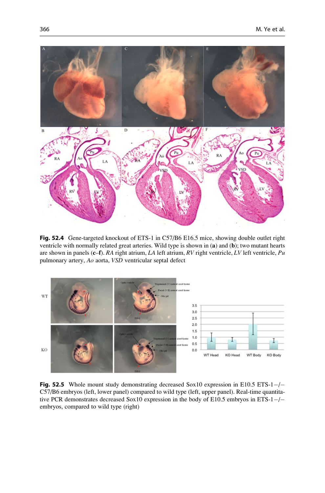<span id="page-5-0"></span>

Fig. 52.4 Gene-targeted knockout of ETS-1 in C57/B6 E16.5 mice, showing double outlet right ventricle with normally related great arteries. Wild type is shown in (a) and (b); two mutant hearts are shown in panels (c–f). RA right atrium, LA left atrium, RV right ventricle, LV left ventricle,  $Pu$ pulmonary artery, Ao aorta, VSD ventricular septal defect

<span id="page-5-1"></span>

Fig. 52.5 Whole mount study demonstrating decreased Sox10 expression in E10.5 ETS-1-/-C57/B6 embryos (left, lower panel) compared to wild type (left, upper panel). Real-time quantitative PCR demonstrates decreased Sox10 expression in the body of E10.5 embryos in ETS-1-/embryos, compared to wild type (right)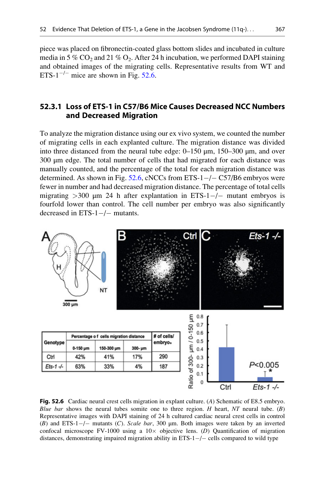piece was placed on fibronectin-coated glass bottom slides and incubated in culture media in 5 % CO<sub>2</sub> and 21 % O<sub>2</sub>. After 24 h incubation, we performed DAPI staining and obtained images of the migrating cells. Representative results from WT and ETS-1<sup> $-/-$ </sup> mice are shown in Fig. [52.6](#page-6-0).

#### 52.3.1 Loss of ETS-1 in C57/B6 Mice Causes Decreased NCC Numbers and Decreased Migration

To analyze the migration distance using our ex vivo system, we counted the number of migrating cells in each explanted culture. The migration distance was divided into three distanced from the neural tube edge: 0–150 μm, 150–300 μm, and over 300 μm edge. The total number of cells that had migrated for each distance was manually counted, and the percentage of the total for each migration distance was determined. As shown in Fig.  $52.6$ , cNCCs from ETS- $1-/-$ C57/B6 embryos were fewer in number and had decreased migration distance. The percentage of total cells migrating  $>$ 300  $\mu$ m 24 h after explantation in ETS-1-/- mutant embryos is fourfold lower than control. The cell number per embryo was also significantly decreased in  $ETS-1-/-$  mutants.

<span id="page-6-0"></span>

Fig. 52.6 Cardiac neural crest cells migration in explant culture. (A) Schematic of E8.5 embryo. Blue bar shows the neural tubes somite one to three region. H heart,  $NT$  neural tube.  $(B)$ Representative images with DAPI staining of 24 h cultured cardiac neural crest cells in control (B) and ETS-1 $-$ / $-$  mutants (C). Scale bar, 300  $\mu$ m. Both images were taken by an inverted confocal microscope FV-1000 using a  $10\times$  objective lens. (D) Quantification of migration distances, demonstrating impaired migration ability in ETS-1-/- cells compared to wild type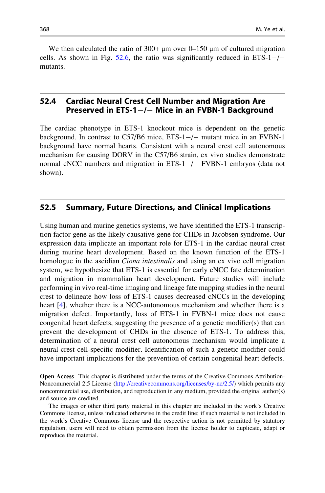We then calculated the ratio of  $300+ \mu m$  over 0–150  $\mu m$  of cultured migration cells. As shown in Fig.  $52.6$ , the ratio was significantly reduced in ETS-1-/mutants.

## 52.4 Cardiac Neural Crest Cell Number and Migration Are Preserved in ETS-1 $-/-$  Mice in an FVBN-1 Background

The cardiac phenotype in ETS-1 knockout mice is dependent on the genetic background. In contrast to C57/B6 mice, ETS-1-/- mutant mice in an FVBN-1 background have normal hearts. Consistent with a neural crest cell autonomous mechanism for causing DORV in the C57/B6 strain, ex vivo studies demonstrate normal cNCC numbers and migration in ETS-1-/- FVBN-1 embryos (data not shown).

#### 52.5 Summary, Future Directions, and Clinical Implications

Using human and murine genetics systems, we have identified the ETS-1 transcription factor gene as the likely causative gene for CHDs in Jacobsen syndrome. Our expression data implicate an important role for ETS-1 in the cardiac neural crest during murine heart development. Based on the known function of the ETS-1 homologue in the ascidian *Ciona intestinalis* and using an ex vivo cell migration system, we hypothesize that ETS-1 is essential for early cNCC fate determination and migration in mammalian heart development. Future studies will include performing in vivo real-time imaging and lineage fate mapping studies in the neural crest to delineate how loss of ETS-1 causes decreased cNCCs in the developing heart [\[4](#page-8-3)], whether there is a NCC-autonomous mechanism and whether there is a migration defect. Importantly, loss of ETS-1 in FVBN-1 mice does not cause congenital heart defects, suggesting the presence of a genetic modifier(s) that can prevent the development of CHDs in the absence of ETS-1. To address this, determination of a neural crest cell autonomous mechanism would implicate a neural crest cell-specific modifier. Identification of such a genetic modifier could have important implications for the prevention of certain congenital heart defects.

Open Access This chapter is distributed under the terms of the Creative Commons Attribution-Noncommercial 2.5 License (http://creativecommons.org/licenses/by-nc/2.5/) which permits any noncommercial use, distribution, and reproduction in any medium, provided the original author(s) and source are credited.

The images or other third party material in this chapter are included in the work's Creative Commons license, unless indicated otherwise in the credit line; if such material is not included in the work's Creative Commons license and the respective action is not permitted by statutory regulation, users will need to obtain permission from the license holder to duplicate, adapt or reproduce the material.